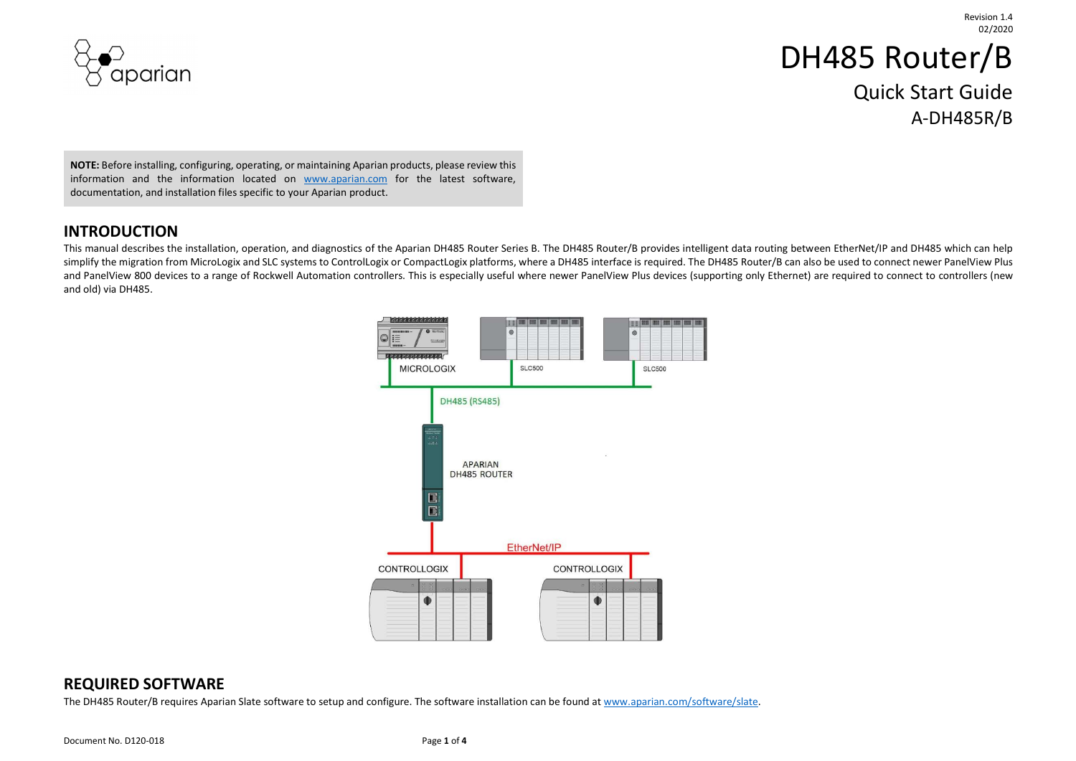

# DH485 Router/B Quick Start Guide A-DH485R/B

NOTE: Before installing, configuring, operating, or maintaining Aparian products, please review this information and the information located on www.aparian.com for the latest software, documentation, and installation files specific to your Aparian product.

#### INTRODUCTION

This manual describes the installation, operation, and diagnostics of the Aparian DH485 Router Series B. The DH485 Router/B provides intelligent data routing between EtherNet/IP and DH485 which can help simplify the migration from MicroLogix and SLC systems to ControlLogix or CompactLogix platforms, where a DH485 interface is required. The DH485 Router/B can also be used to connect newer PanelView Plus and PanelView 800 devices to a range of Rockwell Automation controllers. This is especially useful where newer PanelView Plus devices (supporting only Ethernet) are required to connect to controllers (new and old) via DH485.



### REQUIRED SOFTWARE

The DH485 Router/B requires Aparian Slate software to setup and configure. The software installation can be found at www.aparian.com/software/slate.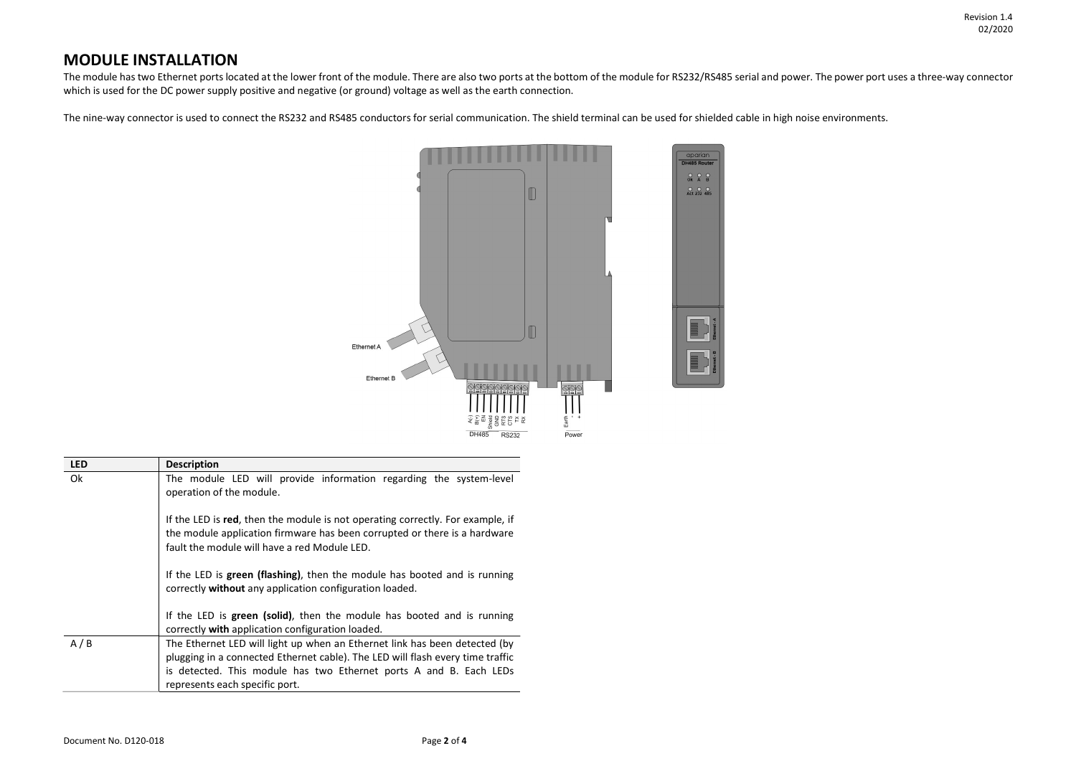Revision 1.4 02/2020

#### MODULE INSTALLATION

The module has two Ethernet ports located at the lower front of the module. There are also two ports at the bottom of the module for RS232/RS485 serial and power. The power port uses a three-way connector which is used for the DC power supply positive and negative (or ground) voltage as well as the earth connection.

The nine-way connector is used to connect the RS232 and RS485 conductors for serial communication. The shield terminal can be used for shielded cable in high noise environments.



| <b>LED</b> | <b>Description</b>                                                                                                                                                                                                                                                   |
|------------|----------------------------------------------------------------------------------------------------------------------------------------------------------------------------------------------------------------------------------------------------------------------|
| Ok         | The module LED will provide information regarding the system-level<br>operation of the module.                                                                                                                                                                       |
|            | If the LED is red, then the module is not operating correctly. For example, if<br>the module application firmware has been corrupted or there is a hardware<br>fault the module will have a red Module LED.                                                          |
|            | If the LED is green (flashing), then the module has booted and is running<br>correctly without any application configuration loaded.                                                                                                                                 |
|            | If the LED is green (solid), then the module has booted and is running<br>correctly with application configuration loaded.                                                                                                                                           |
| A/B        | The Ethernet LED will light up when an Ethernet link has been detected (by<br>plugging in a connected Ethernet cable). The LED will flash every time traffic<br>is detected. This module has two Ethernet ports A and B. Each LEDs<br>represents each specific port. |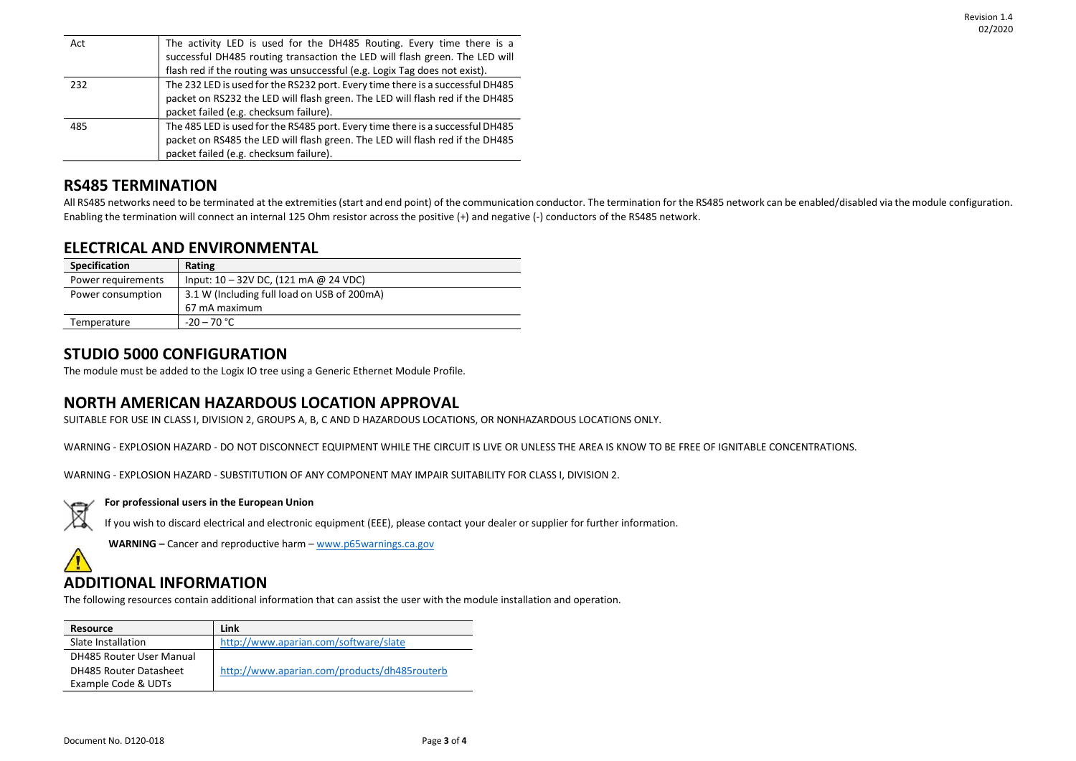| Act | The activity LED is used for the DH485 Routing. Every time there is a          |
|-----|--------------------------------------------------------------------------------|
|     | successful DH485 routing transaction the LED will flash green. The LED will    |
|     | flash red if the routing was unsuccessful (e.g. Logix Tag does not exist).     |
| 232 | The 232 LED is used for the RS232 port. Every time there is a successful DH485 |
|     | packet on RS232 the LED will flash green. The LED will flash red if the DH485  |
|     | packet failed (e.g. checksum failure).                                         |
| 485 | The 485 LED is used for the RS485 port. Every time there is a successful DH485 |
|     | packet on RS485 the LED will flash green. The LED will flash red if the DH485  |
|     | packet failed (e.g. checksum failure).                                         |

### RS485 TERMINATION

All RS485 networks need to be terminated at the extremities (start and end point) of the communication conductor. The termination for the RS485 network can be enabled/disabled via the module configuration. Enabling the termination will connect an internal 125 Ohm resistor across the positive (+) and negative (-) conductors of the RS485 network.

### ELECTRICAL AND ENVIRONMENTAL

| Specification      | Rating                                      |
|--------------------|---------------------------------------------|
| Power requirements | Input: $10 - 32V$ DC, (121 mA @ 24 VDC)     |
| Power consumption  | 3.1 W (Including full load on USB of 200mA) |
|                    | 67 mA maximum                               |
| Temperature        | $-20 - 70$ °C                               |

### STUDIO 5000 CONFIGURATION

The module must be added to the Logix IO tree using a Generic Ethernet Module Profile.

### NORTH AMERICAN HAZARDOUS LOCATION APPROVAL

SUITABLE FOR USE IN CLASS I, DIVISION 2, GROUPS A, B, C AND D HAZARDOUS LOCATIONS, OR NONHAZARDOUS LOCATIONS ONLY.

WARNING - EXPLOSION HAZARD - DO NOT DISCONNECT EQUIPMENT WHILE THE CIRCUIT IS LIVE OR UNLESS THE AREA IS KNOW TO BE FREE OF IGNITABLE CONCENTRATIONS.

WARNING - EXPLOSION HAZARD - SUBSTITUTION OF ANY COMPONENT MAY IMPAIR SUITABILITY FOR CLASS I, DIVISION 2.



#### For professional users in the European Union

If you wish to discard electrical and electronic equipment (EEE), please contact your dealer or supplier for further information.

WARNING – Cancer and reproductive harm – www.p65warnings.ca.gov

## ADDITIONAL INFORMATION

The following resources contain additional information that can assist the user with the module installation and operation.

| <b>Resource</b>                 | Link                                         |
|---------------------------------|----------------------------------------------|
| Slate Installation              | http://www.aparian.com/software/slate        |
| <b>DH485 Router User Manual</b> |                                              |
| DH485 Router Datasheet          | http://www.aparian.com/products/dh485routerb |
| Example Code & UDTs             |                                              |